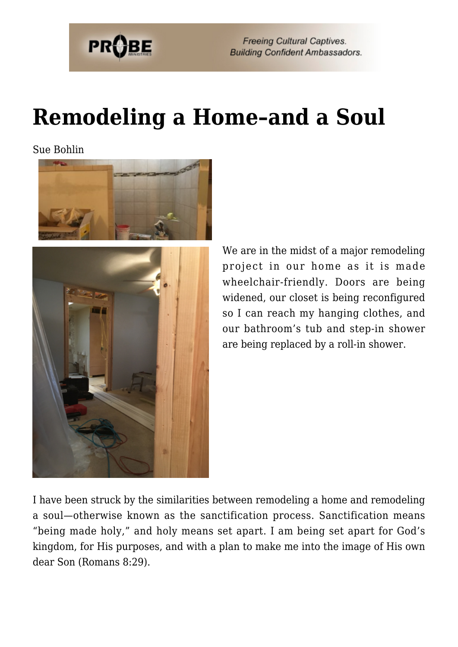

**Freeing Cultural Captives. Building Confident Ambassadors.** 

## **[Remodeling a Home–and a Soul](https://probe.org/remodeling-a-home-and-a-soul/)**

Sue Bohlin



We are in the midst of a major remodeling project in our home as it is made wheelchair-friendly. Doors are being widened, our closet is being reconfigured so I can reach my hanging clothes, and our bathroom's tub and step-in shower are being replaced by a roll-in shower.

I have been struck by the similarities between remodeling a home and remodeling a soul—otherwise known as the sanctification process. Sanctification means "being made holy," and holy means set apart. I am being set apart for God's kingdom, for His purposes, and with a plan to make me into the image of His own dear Son (Romans 8:29).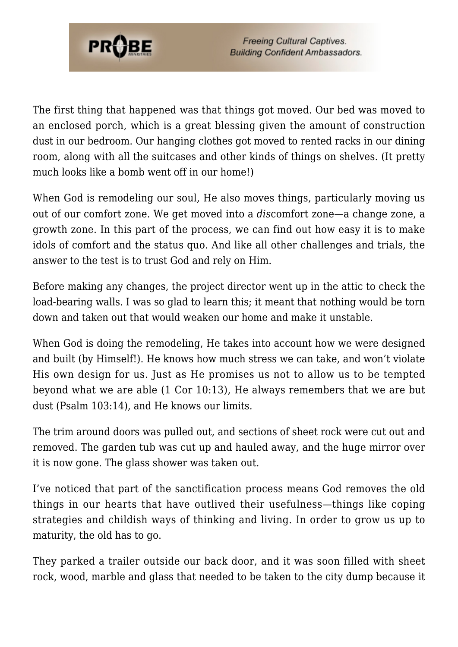

**Freeing Cultural Captives. Building Confident Ambassadors.** 

The first thing that happened was that things got moved. Our bed was moved to an enclosed porch, which is a great blessing given the amount of construction dust in our bedroom. Our hanging clothes got moved to rented racks in our dining room, along with all the suitcases and other kinds of things on shelves. (It pretty much looks like a bomb went off in our home!)

When God is remodeling our soul. He also moves things, particularly moving us out of our comfort zone. We get moved into a *dis*comfort zone—a change zone, a growth zone. In this part of the process, we can find out how easy it is to make idols of comfort and the status quo. And like all other challenges and trials, the answer to the test is to trust God and rely on Him.

Before making any changes, the project director went up in the attic to check the load-bearing walls. I was so glad to learn this; it meant that nothing would be torn down and taken out that would weaken our home and make it unstable.

When God is doing the remodeling, He takes into account how we were designed and built (by Himself!). He knows how much stress we can take, and won't violate His own design for us. Just as He promises us not to allow us to be tempted beyond what we are able (1 Cor 10:13), He always remembers that we are but dust (Psalm 103:14), and He knows our limits.

The trim around doors was pulled out, and sections of sheet rock were cut out and removed. The garden tub was cut up and hauled away, and the huge mirror over it is now gone. The glass shower was taken out.

I've noticed that part of the sanctification process means God removes the old things in our hearts that have outlived their usefulness—things like coping strategies and childish ways of thinking and living. In order to grow us up to maturity, the old has to go.

They parked a trailer outside our back door, and it was soon filled with sheet rock, wood, marble and glass that needed to be taken to the city dump because it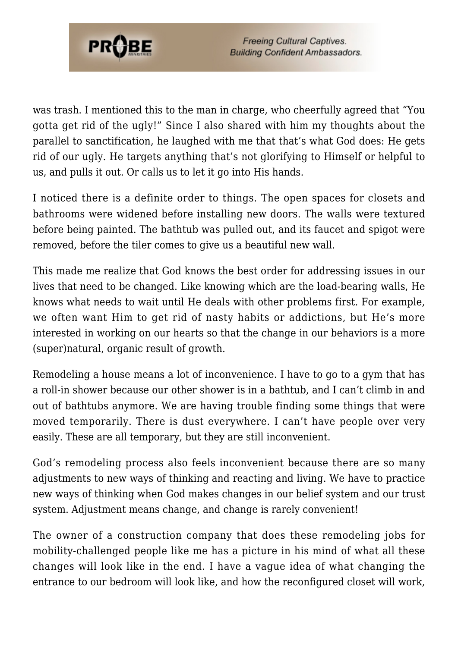

**Freeing Cultural Captives. Building Confident Ambassadors.** 

was trash. I mentioned this to the man in charge, who cheerfully agreed that "You gotta get rid of the ugly!" Since I also shared with him my thoughts about the parallel to sanctification, he laughed with me that that's what God does: He gets rid of our ugly. He targets anything that's not glorifying to Himself or helpful to us, and pulls it out. Or calls us to let it go into His hands.

I noticed there is a definite order to things. The open spaces for closets and bathrooms were widened before installing new doors. The walls were textured before being painted. The bathtub was pulled out, and its faucet and spigot were removed, before the tiler comes to give us a beautiful new wall.

This made me realize that God knows the best order for addressing issues in our lives that need to be changed. Like knowing which are the load-bearing walls, He knows what needs to wait until He deals with other problems first. For example, we often want Him to get rid of nasty habits or addictions, but He's more interested in working on our hearts so that the change in our behaviors is a more (super)natural, organic result of growth.

Remodeling a house means a lot of inconvenience. I have to go to a gym that has a roll-in shower because our other shower is in a bathtub, and I can't climb in and out of bathtubs anymore. We are having trouble finding some things that were moved temporarily. There is dust everywhere. I can't have people over very easily. These are all temporary, but they are still inconvenient.

God's remodeling process also feels inconvenient because there are so many adjustments to new ways of thinking and reacting and living. We have to practice new ways of thinking when God makes changes in our belief system and our trust system. Adjustment means change, and change is rarely convenient!

The owner of a construction company that does these remodeling jobs for mobility-challenged people like me has a picture in his mind of what all these changes will look like in the end. I have a vague idea of what changing the entrance to our bedroom will look like, and how the reconfigured closet will work,